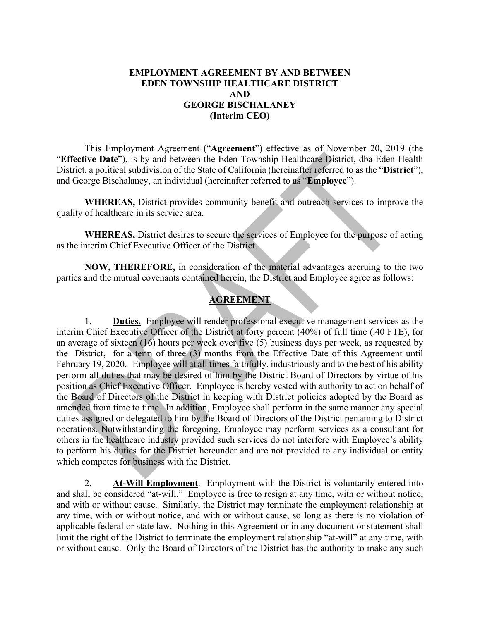### **EMPLOYMENT AGREEMENT BY AND BETWEEN EDEN TOWNSHIP HEALTHCARE DISTRICT AND GEORGE BISCHALANEY (Interim CEO)**

This Employment Agreement ("**Agreement**") effective as of November 20, 2019 (the "Effective Date"), is by and between the Eden Township Healthcare District, dba Eden Health District, a political subdivision of the State of California (hereinafter referred to as the "**District**"), and George Bischalaney, an individual (hereinafter referred to as "**Employee**").

**WHEREAS,** District provides community benefit and outreach services to improve the quality of healthcare in its service area.

**WHEREAS,** District desires to secure the services of Employee for the purpose of acting as the interim Chief Executive Officer of the District.

**NOW, THEREFORE,** in consideration of the material advantages accruing to the two parties and the mutual covenants contained herein, the District and Employee agree as follows:

# **AGREEMENT**

1. **Duties.** Employee will render professional executive management services as the interim Chief Executive Officer of the District at forty percent (40%) of full time (.40 FTE), for an average of sixteen (16) hours per week over five (5) business days per week, as requested by the District, for a term of three (3) months from the Effective Date of this Agreement until February 19, 2020. Employee will at all times faithfully, industriously and to the best of his ability perform all duties that may be desired of him by the District Board of Directors by virtue of his position as Chief Executive Officer. Employee is hereby vested with authority to act on behalf of the Board of Directors of the District in keeping with District policies adopted by the Board as amended from time to time. In addition, Employee shall perform in the same manner any special duties assigned or delegated to him by the Board of Directors of the District pertaining to District operations. Notwithstanding the foregoing, Employee may perform services as a consultant for others in the healthcare industry provided such services do not interfere with Employee's ability to perform his duties for the District hereunder and are not provided to any individual or entity which competes for business with the District.

2. **At-Will Employment**. Employment with the District is voluntarily entered into and shall be considered "at-will." Employee is free to resign at any time, with or without notice, and with or without cause. Similarly, the District may terminate the employment relationship at any time, with or without notice, and with or without cause, so long as there is no violation of applicable federal or state law. Nothing in this Agreement or in any document or statement shall limit the right of the District to terminate the employment relationship "at-will" at any time, with or without cause. Only the Board of Directors of the District has the authority to make any such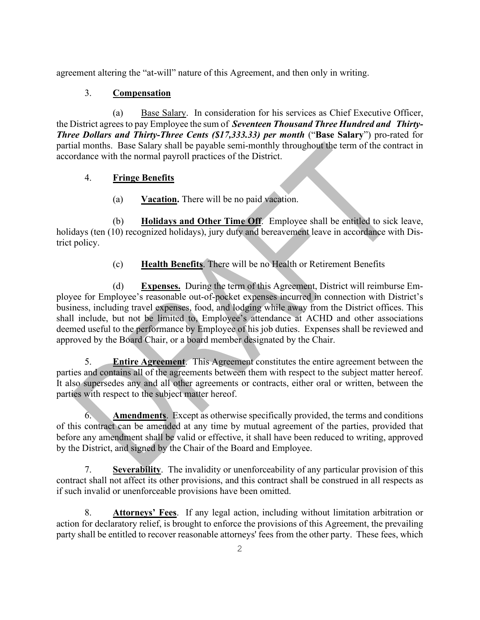agreement altering the "at-will" nature of this Agreement, and then only in writing.

# 3. **Compensation**

(a) Base Salary. In consideration for his services as Chief Executive Officer, the District agreesto pay Employee the sum of *Seventeen Thousand Three Hundred and Thirty-Three Dollars and Thirty-Three Cents (\$17,333.33) per month* ("**Base Salary**") pro-rated for partial months. Base Salary shall be payable semi-monthly throughout the term of the contract in accordance with the normal payroll practices of the District.

# 4. **Fringe Benefits**

(a) **Vacation.** There will be no paid vacation.

(b) **Holidays and Other Time Off**. Employee shall be entitled to sick leave, holidays (ten (10) recognized holidays), jury duty and bereavement leave in accordance with District policy.

(c) **Health Benefits**. There will be no Health or Retirement Benefits

(d) **Expenses.** During the term of this Agreement, District will reimburse Employee for Employee's reasonable out-of-pocket expenses incurred in connection with District's business, including travel expenses, food, and lodging while away from the District offices. This shall include, but not be limited to, Employee's attendance at ACHD and other associations deemed useful to the performance by Employee of his job duties. Expenses shall be reviewed and approved by the Board Chair, or a board member designated by the Chair.

5. **Entire Agreement**. This Agreement constitutes the entire agreement between the parties and contains all of the agreements between them with respect to the subject matter hereof. It also supersedes any and all other agreements or contracts, either oral or written, between the parties with respect to the subject matter hereof.

6. **Amendments**. Except as otherwise specifically provided, the terms and conditions of this contract can be amended at any time by mutual agreement of the parties, provided that before any amendment shall be valid or effective, it shall have been reduced to writing, approved by the District, and signed by the Chair of the Board and Employee.

7. **Severability**. The invalidity or unenforceability of any particular provision of this contract shall not affect its other provisions, and this contract shall be construed in all respects as if such invalid or unenforceable provisions have been omitted.

8. **Attorneys' Fees**. If any legal action, including without limitation arbitration or action for declaratory relief, is brought to enforce the provisions of this Agreement, the prevailing party shall be entitled to recover reasonable attorneys' fees from the other party. These fees, which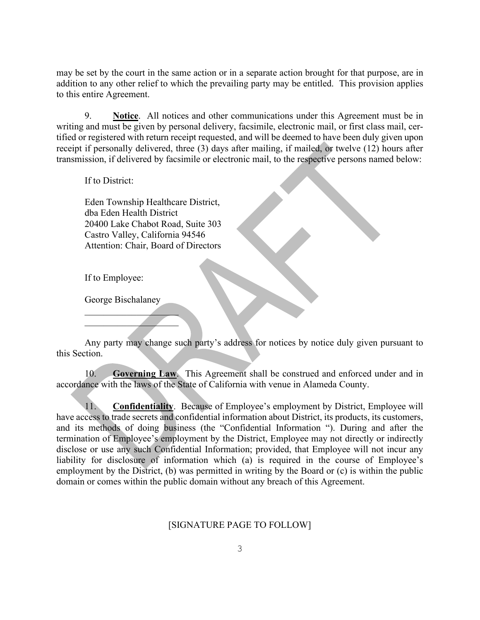may be set by the court in the same action or in a separate action brought for that purpose, are in addition to any other relief to which the prevailing party may be entitled. This provision applies to this entire Agreement.

9. **Notice**. All notices and other communications under this Agreement must be in writing and must be given by personal delivery, facsimile, electronic mail, or first class mail, certified or registered with return receipt requested, and will be deemed to have been duly given upon receipt if personally delivered, three (3) days after mailing, if mailed, or twelve (12) hours after transmission, if delivered by facsimile or electronic mail, to the respective persons named below:

If to District:

Eden Township Healthcare District, dba Eden Health District 20400 Lake Chabot Road, Suite 303 Castro Valley, California 94546 Attention: Chair, Board of Directors

If to Employee:

George Bischalaney

 $\mathcal{L}$  and  $\mathcal{L}$  and  $\mathcal{L}$  $\mathcal{L}$ 

Any party may change such party's address for notices by notice duly given pursuant to this Section.

10. **Governing Law**. This Agreement shall be construed and enforced under and in accordance with the laws of the State of California with venue in Alameda County.

11. **Confidentiality**. Because of Employee's employment by District, Employee will have access to trade secrets and confidential information about District, its products, its customers, and its methods of doing business (the "Confidential Information "). During and after the termination of Employee's employment by the District, Employee may not directly or indirectly disclose or use any such Confidential Information; provided, that Employee will not incur any liability for disclosure of information which (a) is required in the course of Employee's employment by the District, (b) was permitted in writing by the Board or (c) is within the public domain or comes within the public domain without any breach of this Agreement.

#### [SIGNATURE PAGE TO FOLLOW]